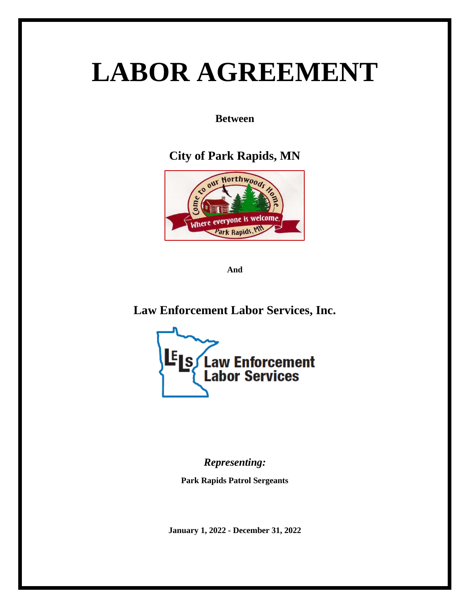# **LABOR AGREEMENT**

**Between**

**City of Park Rapids, MN**



**And**

**Law Enforcement Labor Services, Inc.**



*Representing:*

**Park Rapids Patrol Sergeants**

**January 1, 2022 - December 31, 2022**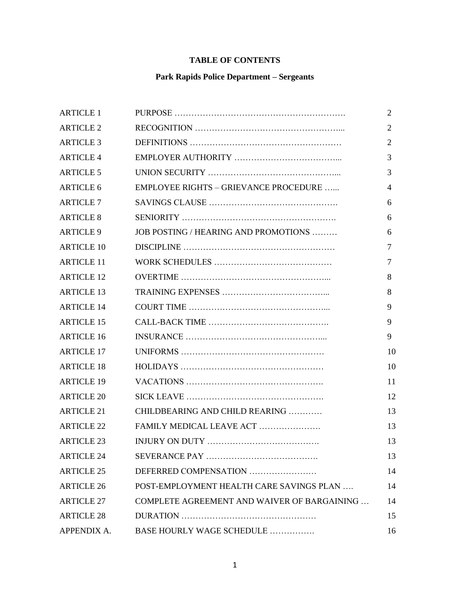### **TABLE OF CONTENTS**

## **Park Rapids Police Department – Sergeants**

| <b>ARTICLE 1</b>  |                                             | $\overline{2}$ |
|-------------------|---------------------------------------------|----------------|
| <b>ARTICLE 2</b>  |                                             | $\overline{2}$ |
| <b>ARTICLE 3</b>  |                                             | 2              |
| <b>ARTICLE 4</b>  |                                             | 3              |
| <b>ARTICLE 5</b>  |                                             | 3              |
| <b>ARTICLE 6</b>  | EMPLOYEE RIGHTS - GRIEVANCE PROCEDURE       | $\overline{4}$ |
| <b>ARTICLE 7</b>  |                                             | 6              |
| <b>ARTICLE 8</b>  |                                             | 6              |
| <b>ARTICLE 9</b>  | JOB POSTING / HEARING AND PROMOTIONS        | 6              |
| <b>ARTICLE 10</b> |                                             | $\overline{7}$ |
| <b>ARTICLE 11</b> |                                             | $\overline{7}$ |
| <b>ARTICLE 12</b> |                                             | 8              |
| <b>ARTICLE 13</b> |                                             | 8              |
| <b>ARTICLE 14</b> |                                             | 9              |
| <b>ARTICLE 15</b> |                                             | 9              |
| <b>ARTICLE 16</b> |                                             | 9              |
| <b>ARTICLE 17</b> |                                             | 10             |
| <b>ARTICLE 18</b> |                                             | 10             |
| <b>ARTICLE 19</b> |                                             | 11             |
| <b>ARTICLE 20</b> |                                             | 12             |
| <b>ARTICLE 21</b> | CHILDBEARING AND CHILD REARING              | 13             |
| <b>ARTICLE 22</b> | FAMILY MEDICAL LEAVE ACT                    | 13             |
| <b>ARTICLE 23</b> |                                             | 13             |
| <b>ARTICLE 24</b> |                                             | 13             |
| <b>ARTICLE 25</b> | DEFERRED COMPENSATION                       | 14             |
| <b>ARTICLE 26</b> | POST-EMPLOYMENT HEALTH CARE SAVINGS PLAN    | 14             |
| <b>ARTICLE 27</b> | COMPLETE AGREEMENT AND WAIVER OF BARGAINING | 14             |
| <b>ARTICLE 28</b> |                                             | 15             |
| APPENDIX A.       | BASE HOURLY WAGE SCHEDULE                   | 16             |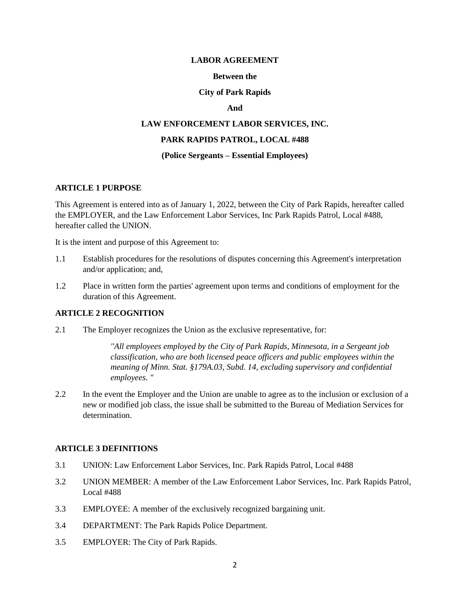#### **LABOR AGREEMENT**

#### **Between the**

#### **City of Park Rapids**

#### **And**

# **LAW ENFORCEMENT LABOR SERVICES, INC.**

#### **PARK RAPIDS PATROL, LOCAL #488**

#### **(Police Sergeants – Essential Employees)**

#### **ARTICLE 1 PURPOSE**

This Agreement is entered into as of January 1, 2022, between the City of Park Rapids, hereafter called the EMPLOYER, and the Law Enforcement Labor Services, Inc Park Rapids Patrol, Local #488, hereafter called the UNION.

It is the intent and purpose of this Agreement to:

- 1.1 Establish procedures for the resolutions of disputes concerning this Agreement's interpretation and/or application; and,
- 1.2 Place in written form the parties' agreement upon terms and conditions of employment for the duration of this Agreement.

#### **ARTICLE 2 RECOGNITION**

2.1 The Employer recognizes the Union as the exclusive representative, for:

*''All employees employed by the City of Park Rapids, Minnesota, in a Sergeant job classification, who are both licensed peace officers and public employees within the meaning of Minn. Stat. §179A.03, Subd. 14, excluding supervisory and confidential employees. "*

2.2 In the event the Employer and the Union are unable to agree as to the inclusion or exclusion of a new or modified job class, the issue shall be submitted to the Bureau of Mediation Services for determination.

#### **ARTICLE 3 DEFINITIONS**

- 3.1 UNION: Law Enforcement Labor Services, Inc. Park Rapids Patrol, Local #488
- 3.2 UNION MEMBER: A member of the Law Enforcement Labor Services, Inc. Park Rapids Patrol, Local #488
- 3.3 EMPLOYEE: A member of the exclusively recognized bargaining unit.
- 3.4 DEPARTMENT: The Park Rapids Police Department.
- 3.5 EMPLOYER: The City of Park Rapids.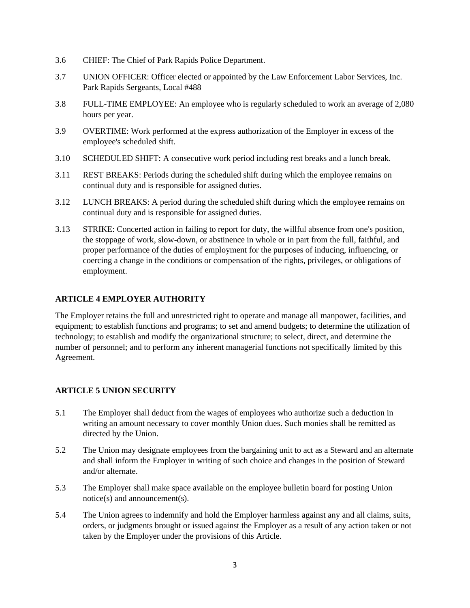- 3.6 CHIEF: The Chief of Park Rapids Police Department.
- 3.7 UNION OFFICER: Officer elected or appointed by the Law Enforcement Labor Services, Inc. Park Rapids Sergeants, Local #488
- 3.8 FULL-TIME EMPLOYEE: An employee who is regularly scheduled to work an average of 2,080 hours per year.
- 3.9 OVERTIME: Work performed at the express authorization of the Employer in excess of the employee's scheduled shift.
- 3.10 SCHEDULED SHIFT: A consecutive work period including rest breaks and a lunch break.
- 3.11 REST BREAKS: Periods during the scheduled shift during which the employee remains on continual duty and is responsible for assigned duties.
- 3.12 LUNCH BREAKS: A period during the scheduled shift during which the employee remains on continual duty and is responsible for assigned duties.
- 3.13 STRIKE: Concerted action in failing to report for duty, the willful absence from one's position, the stoppage of work, slow-down, or abstinence in whole or in part from the full, faithful, and proper performance of the duties of employment for the purposes of inducing, influencing, or coercing a change in the conditions or compensation of the rights, privileges, or obligations of employment.

#### **ARTICLE 4 EMPLOYER AUTHORITY**

The Employer retains the full and unrestricted right to operate and manage all manpower, facilities, and equipment; to establish functions and programs; to set and amend budgets; to determine the utilization of technology; to establish and modify the organizational structure; to select, direct, and determine the number of personnel; and to perform any inherent managerial functions not specifically limited by this Agreement.

#### **ARTICLE 5 UNION SECURITY**

- 5.1 The Employer shall deduct from the wages of employees who authorize such a deduction in writing an amount necessary to cover monthly Union dues. Such monies shall be remitted as directed by the Union.
- 5.2 The Union may designate employees from the bargaining unit to act as a Steward and an alternate and shall inform the Employer in writing of such choice and changes in the position of Steward and/or alternate.
- 5.3 The Employer shall make space available on the employee bulletin board for posting Union notice(s) and announcement(s).
- 5.4 The Union agrees to indemnify and hold the Employer harmless against any and all claims, suits, orders, or judgments brought or issued against the Employer as a result of any action taken or not taken by the Employer under the provisions of this Article.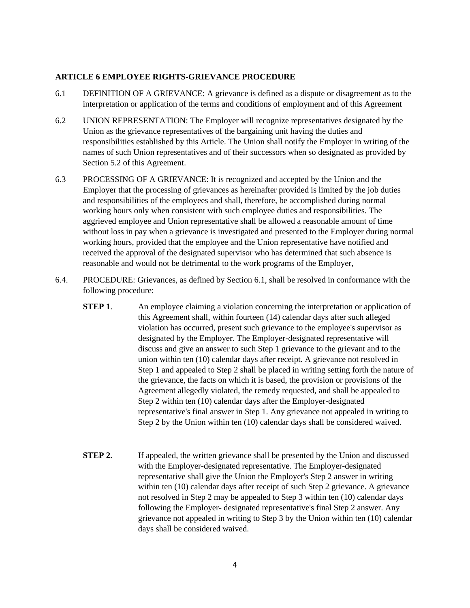#### **ARTICLE 6 EMPLOYEE RIGHTS-GRIEVANCE PROCEDURE**

- 6.1 DEFINITION OF A GRIEVANCE: A grievance is defined as a dispute or disagreement as to the interpretation or application of the terms and conditions of employment and of this Agreement
- 6.2 UNION REPRESENTATION: The Employer will recognize representatives designated by the Union as the grievance representatives of the bargaining unit having the duties and responsibilities established by this Article. The Union shall notify the Employer in writing of the names of such Union representatives and of their successors when so designated as provided by Section 5.2 of this Agreement.
- 6.3 PROCESSING OF A GRIEVANCE: It is recognized and accepted by the Union and the Employer that the processing of grievances as hereinafter provided is limited by the job duties and responsibilities of the employees and shall, therefore, be accomplished during normal working hours only when consistent with such employee duties and responsibilities. The aggrieved employee and Union representative shall be allowed a reasonable amount of time without loss in pay when a grievance is investigated and presented to the Employer during normal working hours, provided that the employee and the Union representative have notified and received the approval of the designated supervisor who has determined that such absence is reasonable and would not be detrimental to the work programs of the Employer,
- 6.4. PROCEDURE: Grievances, as defined by Section 6.1, shall be resolved in conformance with the following procedure:
	- **STEP 1.** An employee claiming a violation concerning the interpretation or application of this Agreement shall, within fourteen (14) calendar days after such alleged violation has occurred, present such grievance to the employee's supervisor as designated by the Employer. The Employer-designated representative will discuss and give an answer to such Step 1 grievance to the grievant and to the union within ten (10) calendar days after receipt. A grievance not resolved in Step 1 and appealed to Step 2 shall be placed in writing setting forth the nature of the grievance, the facts on which it is based, the provision or provisions of the Agreement allegedly violated, the remedy requested, and shall be appealed to Step 2 within ten (10) calendar days after the Employer-designated representative's final answer in Step 1. Any grievance not appealed in writing to Step 2 by the Union within ten (10) calendar days shall be considered waived.
	- **STEP 2.** If appealed, the written grievance shall be presented by the Union and discussed with the Employer-designated representative. The Employer-designated representative shall give the Union the Employer's Step 2 answer in writing within ten (10) calendar days after receipt of such Step 2 grievance. A grievance not resolved in Step 2 may be appealed to Step 3 within ten (10) calendar days following the Employer- designated representative's final Step 2 answer. Any grievance not appealed in writing to Step 3 by the Union within ten (10) calendar days shall be considered waived.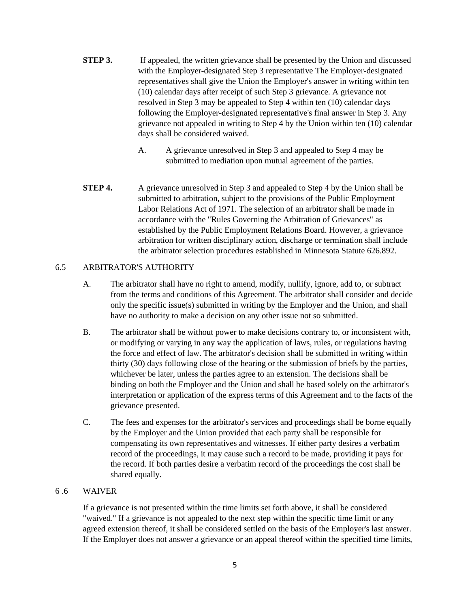- **STEP 3.** If appealed, the written grievance shall be presented by the Union and discussed with the Employer-designated Step 3 representative The Employer-designated representatives shall give the Union the Employer's answer in writing within ten (10) calendar days after receipt of such Step 3 grievance. A grievance not resolved in Step 3 may be appealed to Step 4 within ten (10) calendar days following the Employer-designated representative's final answer in Step 3. Any grievance not appealed in writing to Step 4 by the Union within ten (10) calendar days shall be considered waived.
	- A. A grievance unresolved in Step 3 and appealed to Step 4 may be submitted to mediation upon mutual agreement of the parties.
- **STEP 4.** A grievance unresolved in Step 3 and appealed to Step 4 by the Union shall be submitted to arbitration, subject to the provisions of the Public Employment Labor Relations Act of 1971. The selection of an arbitrator shall be made in accordance with the "Rules Governing the Arbitration of Grievances" as established by the Public Employment Relations Board. However, a grievance arbitration for written disciplinary action, discharge or termination shall include the arbitrator selection procedures established in Minnesota Statute 626.892.

#### 6.5 ARBITRATOR'S AUTHORITY

- A. The arbitrator shall have no right to amend, modify, nullify, ignore, add to, or subtract from the terms and conditions of this Agreement. The arbitrator shall consider and decide only the specific issue(s) submitted in writing by the Employer and the Union, and shall have no authority to make a decision on any other issue not so submitted.
- B. The arbitrator shall be without power to make decisions contrary to, or inconsistent with, or modifying or varying in any way the application of laws, rules, or regulations having the force and effect of law. The arbitrator's decision shall be submitted in writing within thirty (30) days following close of the hearing or the submission of briefs by the parties, whichever be later, unless the parties agree to an extension. The decisions shall be binding on both the Employer and the Union and shall be based solely on the arbitrator's interpretation or application of the express terms of this Agreement and to the facts of the grievance presented.
- C. The fees and expenses for the arbitrator's services and proceedings shall be borne equally by the Employer and the Union provided that each party shall be responsible for compensating its own representatives and witnesses. If either party desires a verbatim record of the proceedings, it may cause such a record to be made, providing it pays for the record. If both parties desire a verbatim record of the proceedings the cost shall be shared equally.

#### 6 .6 WAIVER

If a grievance is not presented within the time limits set forth above, it shall be considered "waived." If a grievance is not appealed to the next step within the specific time limit or any agreed extension thereof, it shall be considered settled on the basis of the Employer's last answer. If the Employer does not answer a grievance or an appeal thereof within the specified time limits,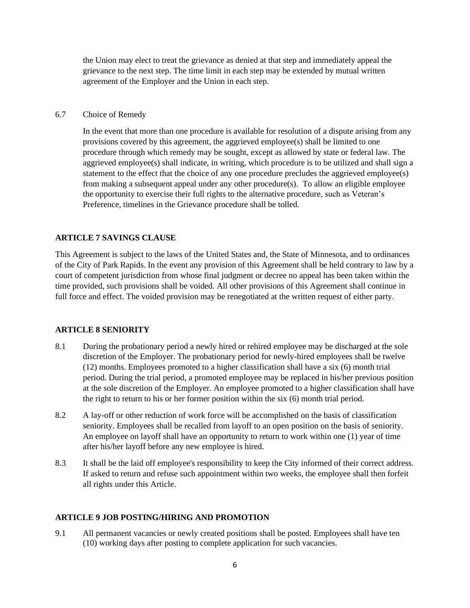the Union may elect to treat the grievance as denied at that step and immediately appeal the grievance to the next step. The time limit in each step may be extended by mutual written agreement of the Employer and the Union in each step.

#### 6.7 Choice of Remedy

In the event that more than one procedure is available for resolution of a dispute arising from any provisions covered by this agreement, the aggrieved employee(s) shall be limited to one procedure through which remedy may be sought, except as allowed by state or federal law. The aggrieved employee(s) shall indicate, in writing, which procedure is to be utilized and shall sign a statement to the effect that the choice of any one procedure precludes the aggrieved employee(s) from making a subsequent appeal under any other procedure(s). To allow an eligible employee the opportunity to exercise their full rights to the alternative procedure, such as Veteran's Preference, timelines in the Grievance procedure shall be tolled.

#### **ARTICLE 7 SAVINGS CLAUSE**

This Agreement is subject to the laws of the United States and, the State of Minnesota, and to ordinances of the City of Park Rapids. In the event any provision of this Agreement shall be held contrary to law by a court of competent jurisdiction from whose final judgment or decree no appeal has been taken within the time provided, such provisions shall be voided. All other provisions of this Agreement shall continue in full force and effect. The voided provision may be renegotiated at the written request of either party.

#### **ARTICLE 8 SENIORITY**

- 8.1 During the probationary period a newly hired or rehired employee may be discharged at the sole discretion of the Employer. The probationary period for newly-hired employees shall be twelve (12) months. Employees promoted to a higher classification shall have a six (6) month trial period. During the trial period, a promoted employee may be replaced in his/her previous position at the sole discretion of the Employer. An employee promoted to a higher classification shall have the right to return to his or her former position within the six (6) month trial period.
- 8.2 A lay-off or other reduction of work force will be accomplished on the basis of classification seniority. Employees shall be recalled from layoff to an open position on the basis of seniority. An employee on layoff shall have an opportunity to return to work within one (1) year of time after his/her layoff before any new employee is hired.
- 8.3 It shall be the laid off employee's responsibility to keep the City informed of their correct address. If asked to return and refuse such appointment within two weeks, the employee shall then forfeit all rights under this Article.

#### **ARTICLE 9 JOB POSTING/HIRING AND PROMOTION**

9.1 All permanent vacancies or newly created positions shall be posted. Employees shall have ten (10) working days after posting to complete application for such vacancies.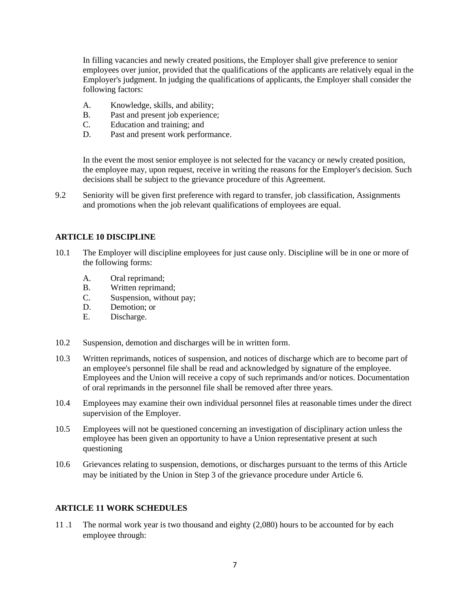In filling vacancies and newly created positions, the Employer shall give preference to senior employees over junior, provided that the qualifications of the applicants are relatively equal in the Employer's judgment. In judging the qualifications of applicants, the Employer shall consider the following factors:

- A. Knowledge, skills, and ability;
- B. Past and present job experience;
- C. Education and training; and
- D. Past and present work performance.

In the event the most senior employee is not selected for the vacancy or newly created position, the employee may, upon request, receive in writing the reasons for the Employer's decision. Such decisions shall be subject to the grievance procedure of this Agreement.

9.2 Seniority will be given first preference with regard to transfer, job classification, Assignments and promotions when the job relevant qualifications of employees are equal.

#### **ARTICLE 10 DISCIPLINE**

- 10.1 The Employer will discipline employees for just cause only. Discipline will be in one or more of the following forms:
	- A. Oral reprimand;
	- B. Written reprimand;
	- C. Suspension, without pay;
	- D. Demotion; or
	- E. Discharge.
- 10.2 Suspension, demotion and discharges will be in written form.
- 10.3 Written reprimands, notices of suspension, and notices of discharge which are to become part of an employee's personnel file shall be read and acknowledged by signature of the employee. Employees and the Union will receive a copy of such reprimands and/or notices. Documentation of oral reprimands in the personnel file shall be removed after three years.
- 10.4 Employees may examine their own individual personnel files at reasonable times under the direct supervision of the Employer.
- 10.5 Employees will not be questioned concerning an investigation of disciplinary action unless the employee has been given an opportunity to have a Union representative present at such questioning
- 10.6 Grievances relating to suspension, demotions, or discharges pursuant to the terms of this Article may be initiated by the Union in Step 3 of the grievance procedure under Article 6.

#### **ARTICLE 11 WORK SCHEDULES**

11 .1 The normal work year is two thousand and eighty (2,080) hours to be accounted for by each employee through: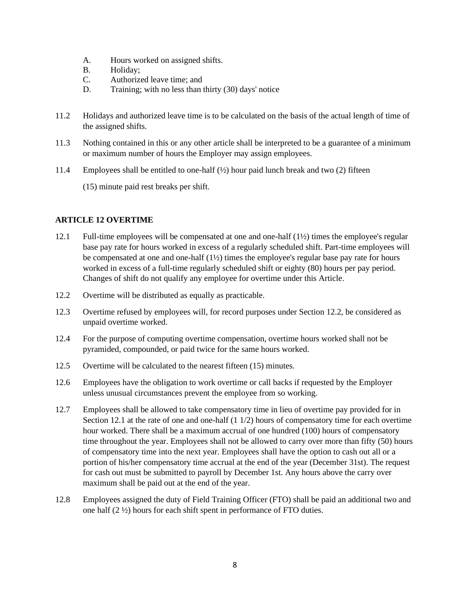- A. Hours worked on assigned shifts.
- B. Holiday;
- C. Authorized leave time; and
- D. Training; with no less than thirty (30) days' notice
- 11.2 Holidays and authorized leave time is to be calculated on the basis of the actual length of time of the assigned shifts.
- 11.3 Nothing contained in this or any other article shall be interpreted to be a guarantee of a minimum or maximum number of hours the Employer may assign employees.
- 11.4 Employees shall be entitled to one-half  $(\frac{1}{2})$  hour paid lunch break and two (2) fifteen

(15) minute paid rest breaks per shift.

#### **ARTICLE 12 OVERTIME**

- 12.1 Full-time employees will be compensated at one and one-half (1½) times the employee's regular base pay rate for hours worked in excess of a regularly scheduled shift. Part-time employees will be compensated at one and one-half (1½) times the employee's regular base pay rate for hours worked in excess of a full-time regularly scheduled shift or eighty (80) hours per pay period. Changes of shift do not qualify any employee for overtime under this Article.
- 12.2 Overtime will be distributed as equally as practicable.
- 12.3 Overtime refused by employees will, for record purposes under Section 12.2, be considered as unpaid overtime worked.
- 12.4 For the purpose of computing overtime compensation, overtime hours worked shall not be pyramided, compounded, or paid twice for the same hours worked.
- 12.5 Overtime will be calculated to the nearest fifteen (15) minutes.
- 12.6 Employees have the obligation to work overtime or call backs if requested by the Employer unless unusual circumstances prevent the employee from so working.
- 12.7 Employees shall be allowed to take compensatory time in lieu of overtime pay provided for in Section 12.1 at the rate of one and one-half (1 1/2) hours of compensatory time for each overtime hour worked. There shall be a maximum accrual of one hundred (100) hours of compensatory time throughout the year. Employees shall not be allowed to carry over more than fifty (50) hours of compensatory time into the next year. Employees shall have the option to cash out all or a portion of his/her compensatory time accrual at the end of the year (December 31st). The request for cash out must be submitted to payroll by December 1st. Any hours above the carry over maximum shall be paid out at the end of the year.
- 12.8 Employees assigned the duty of Field Training Officer (FTO) shall be paid an additional two and one half (2 ½) hours for each shift spent in performance of FTO duties.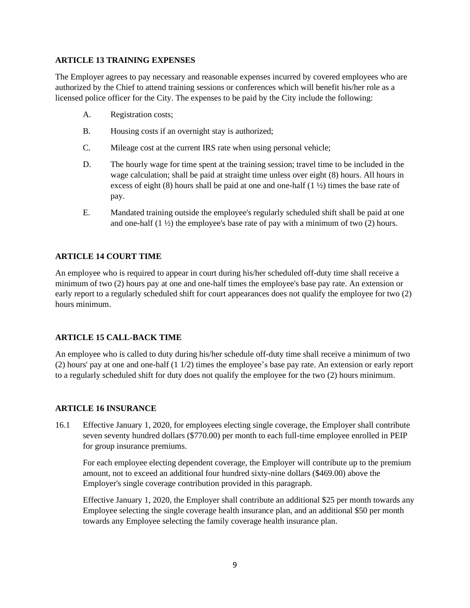#### **ARTICLE 13 TRAINING EXPENSES**

The Employer agrees to pay necessary and reasonable expenses incurred by covered employees who are authorized by the Chief to attend training sessions or conferences which will benefit his/her role as a licensed police officer for the City. The expenses to be paid by the City include the following:

- A. Registration costs;
- B. Housing costs if an overnight stay is authorized;
- C. Mileage cost at the current IRS rate when using personal vehicle;
- D. The hourly wage for time spent at the training session; travel time to be included in the wage calculation; shall be paid at straight time unless over eight (8) hours. All hours in excess of eight (8) hours shall be paid at one and one-half (1 ½) times the base rate of pay.
- E. Mandated training outside the employee's regularly scheduled shift shall be paid at one and one-half  $(1 \frac{1}{2})$  the employee's base rate of pay with a minimum of two  $(2)$  hours.

#### **ARTICLE 14 COURT TIME**

An employee who is required to appear in court during his/her scheduled off-duty time shall receive a minimum of two (2) hours pay at one and one-half times the employee's base pay rate. An extension or early report to a regularly scheduled shift for court appearances does not qualify the employee for two (2) hours minimum.

#### **ARTICLE 15 CALL-BACK TIME**

An employee who is called to duty during his/her schedule off-duty time shall receive a minimum of two (2) hours' pay at one and one-half (1 1/2) times the employee's base pay rate. An extension or early report to a regularly scheduled shift for duty does not qualify the employee for the two (2) hours minimum.

#### **ARTICLE 16 INSURANCE**

16.1 Effective January 1, 2020, for employees electing single coverage, the Employer shall contribute seven seventy hundred dollars (\$770.00) per month to each full-time employee enrolled in PEIP for group insurance premiums.

For each employee electing dependent coverage, the Employer will contribute up to the premium amount, not to exceed an additional four hundred sixty-nine dollars (\$469.00) above the Employer's single coverage contribution provided in this paragraph.

Effective January 1, 2020, the Employer shall contribute an additional \$25 per month towards any Employee selecting the single coverage health insurance plan, and an additional \$50 per month towards any Employee selecting the family coverage health insurance plan.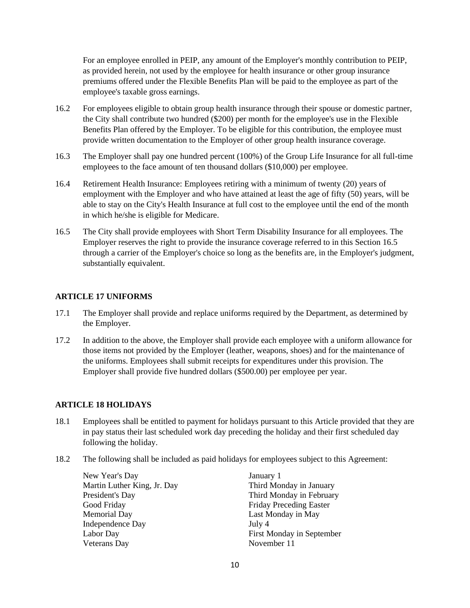For an employee enrolled in PEIP, any amount of the Employer's monthly contribution to PEIP, as provided herein, not used by the employee for health insurance or other group insurance premiums offered under the Flexible Benefits Plan will be paid to the employee as part of the employee's taxable gross earnings.

- 16.2 For employees eligible to obtain group health insurance through their spouse or domestic partner, the City shall contribute two hundred (\$200) per month for the employee's use in the Flexible Benefits Plan offered by the Employer. To be eligible for this contribution, the employee must provide written documentation to the Employer of other group health insurance coverage.
- 16.3 The Employer shall pay one hundred percent (100%) of the Group Life Insurance for all full-time employees to the face amount of ten thousand dollars (\$10,000) per employee.
- 16.4 Retirement Health Insurance: Employees retiring with a minimum of twenty (20) years of employment with the Employer and who have attained at least the age of fifty (50) years, will be able to stay on the City's Health Insurance at full cost to the employee until the end of the month in which he/she is eligible for Medicare.
- 16.5 The City shall provide employees with Short Term Disability Insurance for all employees. The Employer reserves the right to provide the insurance coverage referred to in this Section 16.5 through a carrier of the Employer's choice so long as the benefits are, in the Employer's judgment, substantially equivalent.

#### **ARTICLE 17 UNIFORMS**

- 17.1 The Employer shall provide and replace uniforms required by the Department, as determined by the Employer.
- 17.2 In addition to the above, the Employer shall provide each employee with a uniform allowance for those items not provided by the Employer (leather, weapons, shoes) and for the maintenance of the uniforms. Employees shall submit receipts for expenditures under this provision. The Employer shall provide five hundred dollars (\$500.00) per employee per year.

#### **ARTICLE 18 HOLIDAYS**

- 18.1 Employees shall be entitled to payment for holidays pursuant to this Article provided that they are in pay status their last scheduled work day preceding the holiday and their first scheduled day following the holiday.
- 18.2 The following shall be included as paid holidays for employees subject to this Agreement:

New Year's Day January 1 Martin Luther King, Jr. Day Third Monday in January President's Day Third Monday in February Good Friday **Friday** Friday Preceding Easter Memorial Day Last Monday in May Independence Day July 4 Labor Day First Monday in September Veterans Day November 11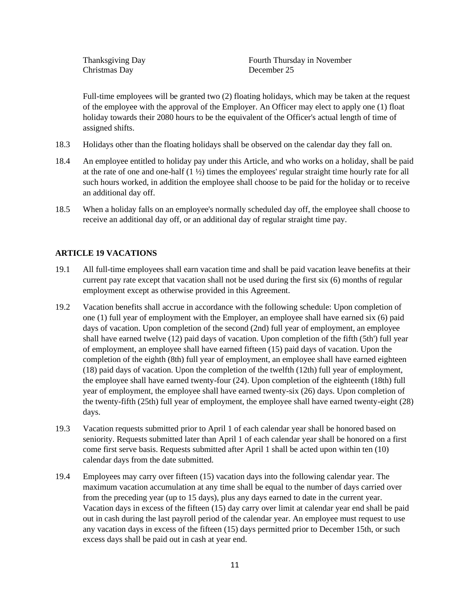Christmas Day December 25

Thanksgiving Day **Fourth Thursday in November** Fourth Thursday in November

Full-time employees will be granted two (2) floating holidays, which may be taken at the request of the employee with the approval of the Employer. An Officer may elect to apply one (1) float holiday towards their 2080 hours to be the equivalent of the Officer's actual length of time of assigned shifts.

- 18.3 Holidays other than the floating holidays shall be observed on the calendar day they fall on.
- 18.4 An employee entitled to holiday pay under this Article, and who works on a holiday, shall be paid at the rate of one and one-half  $(1 \frac{1}{2})$  times the employees' regular straight time hourly rate for all such hours worked, in addition the employee shall choose to be paid for the holiday or to receive an additional day off.
- 18.5 When a holiday falls on an employee's normally scheduled day off, the employee shall choose to receive an additional day off, or an additional day of regular straight time pay.

#### **ARTICLE 19 VACATIONS**

- 19.1 All full-time employees shall earn vacation time and shall be paid vacation leave benefits at their current pay rate except that vacation shall not be used during the first six (6) months of regular employment except as otherwise provided in this Agreement.
- 19.2 Vacation benefits shall accrue in accordance with the following schedule: Upon completion of one (1) full year of employment with the Employer, an employee shall have earned six (6) paid days of vacation. Upon completion of the second (2nd) full year of employment, an employee shall have earned twelve (12) paid days of vacation. Upon completion of the fifth (5th') full year of employment, an employee shall have earned fifteen (15) paid days of vacation. Upon the completion of the eighth (8th) full year of employment, an employee shall have earned eighteen (18) paid days of vacation. Upon the completion of the twelfth (12th) full year of employment, the employee shall have earned twenty-four (24). Upon completion of the eighteenth (18th) full year of employment, the employee shall have earned twenty-six (26) days. Upon completion of the twenty-fifth (25th) full year of employment, the employee shall have earned twenty-eight (28) days.
- 19.3 Vacation requests submitted prior to April 1 of each calendar year shall be honored based on seniority. Requests submitted later than April 1 of each calendar year shall be honored on a first come first serve basis. Requests submitted after April 1 shall be acted upon within ten (10) calendar days from the date submitted.
- 19.4 Employees may carry over fifteen (15) vacation days into the following calendar year. The maximum vacation accumulation at any time shall be equal to the number of days carried over from the preceding year (up to 15 days), plus any days earned to date in the current year. Vacation days in excess of the fifteen (15) day carry over limit at calendar year end shall be paid out in cash during the last payroll period of the calendar year. An employee must request to use any vacation days in excess of the fifteen (15) days permitted prior to December 15th, or such excess days shall be paid out in cash at year end.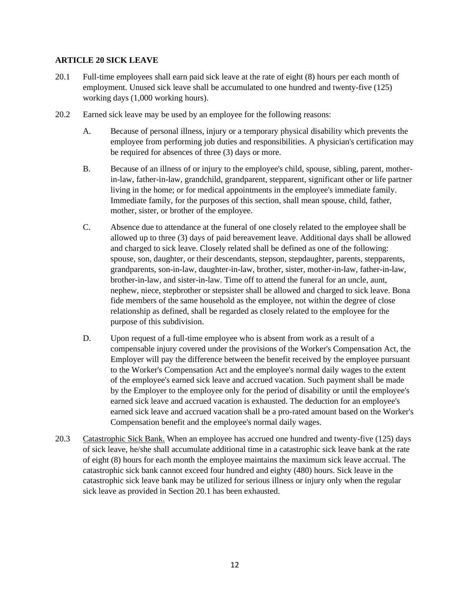#### **ARTICLE 20 SICK LEAVE**

- 20.1 Full-time employees shall earn paid sick leave at the rate of eight (8) hours per each month of employment. Unused sick leave shall be accumulated to one hundred and twenty-five (125) working days (1,000 working hours).
- 20.2 Earned sick leave may be used by an employee for the following reasons:
	- A. Because of personal illness, injury or a temporary physical disability which prevents the employee from performing job duties and responsibilities. A physician's certification may be required for absences of three (3) days or more.
	- B. Because of an illness of or injury to the employee's child, spouse, sibling, parent, motherin-law, father-in-law, grandchild, grandparent, stepparent, significant other or life partner living in the home; or for medical appointments in the employee's immediate family. Immediate family, for the purposes of this section, shall mean spouse, child, father, mother, sister, or brother of the employee.
	- C. Absence due to attendance at the funeral of one closely related to the employee shall be allowed up to three (3) days of paid bereavement leave. Additional days shall be allowed and charged to sick leave. Closely related shall be defined as one of the following: spouse, son, daughter, or their descendants, stepson, stepdaughter, parents, stepparents, grandparents, son-in-law, daughter-in-law, brother, sister, mother-in-law, father-in-law, brother-in-law, and sister-in-law. Time off to attend the funeral for an uncle, aunt, nephew, niece, stepbrother or stepsister shall be allowed and charged to sick leave. Bona fide members of the same household as the employee, not within the degree of close relationship as defined, shall be regarded as closely related to the employee for the purpose of this subdivision.
	- D. Upon request of a full-time employee who is absent from work as a result of a compensable injury covered under the provisions of the Worker's Compensation Act, the Employer will pay the difference between the benefit received by the employee pursuant to the Worker's Compensation Act and the employee's normal daily wages to the extent of the employee's earned sick leave and accrued vacation. Such payment shall be made by the Employer to the employee only for the period of disability or until the employee's earned sick leave and accrued vacation is exhausted. The deduction for an employee's earned sick leave and accrued vacation shall be a pro-rated amount based on the Worker's Compensation benefit and the employee's normal daily wages.
- 20.3 Catastrophic Sick Bank. When an employee has accrued one hundred and twenty-five (125) days of sick leave, he/she shall accumulate additional time in a catastrophic sick leave bank at the rate of eight (8) hours for each month the employee maintains the maximum sick leave accrual. The catastrophic sick bank cannot exceed four hundred and eighty (480) hours. Sick leave in the catastrophic sick leave bank may be utilized for serious illness or injury only when the regular sick leave as provided in Section 20.1 has been exhausted.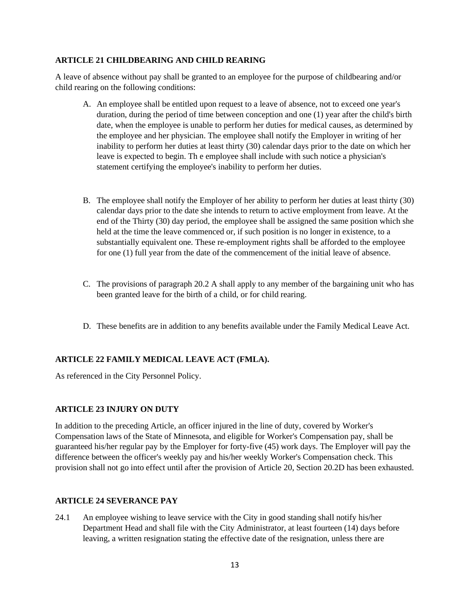#### **ARTICLE 21 CHILDBEARING AND CHILD REARING**

A leave of absence without pay shall be granted to an employee for the purpose of childbearing and/or child rearing on the following conditions:

- A. An employee shall be entitled upon request to a leave of absence, not to exceed one year's duration, during the period of time between conception and one (1) year after the child's birth date, when the employee is unable to perform her duties for medical causes, as determined by the employee and her physician. The employee shall notify the Employer in writing of her inability to perform her duties at least thirty (30) calendar days prior to the date on which her leave is expected to begin. Th e employee shall include with such notice a physician's statement certifying the employee's inability to perform her duties.
- B. The employee shall notify the Employer of her ability to perform her duties at least thirty (30) calendar days prior to the date she intends to return to active employment from leave. At the end of the Thirty (30) day period, the employee shall be assigned the same position which she held at the time the leave commenced or, if such position is no longer in existence, to a substantially equivalent one. These re-employment rights shall be afforded to the employee for one (1) full year from the date of the commencement of the initial leave of absence.
- C. The provisions of paragraph 20.2 A shall apply to any member of the bargaining unit who has been granted leave for the birth of a child, or for child rearing.
- D. These benefits are in addition to any benefits available under the Family Medical Leave Act.

#### **ARTICLE 22 FAMILY MEDICAL LEAVE ACT (FMLA).**

As referenced in the City Personnel Policy.

#### **ARTICLE 23 INJURY ON DUTY**

In addition to the preceding Article, an officer injured in the line of duty, covered by Worker's Compensation laws of the State of Minnesota, and eligible for Worker's Compensation pay, shall be guaranteed his/her regular pay by the Employer for forty-five (45) work days. The Employer will pay the difference between the officer's weekly pay and his/her weekly Worker's Compensation check. This provision shall not go into effect until after the provision of Article 20, Section 20.2D has been exhausted.

#### **ARTICLE 24 SEVERANCE PAY**

24.1 An employee wishing to leave service with the City in good standing shall notify his/her Department Head and shall file with the City Administrator, at least fourteen (14) days before leaving, a written resignation stating the effective date of the resignation, unless there are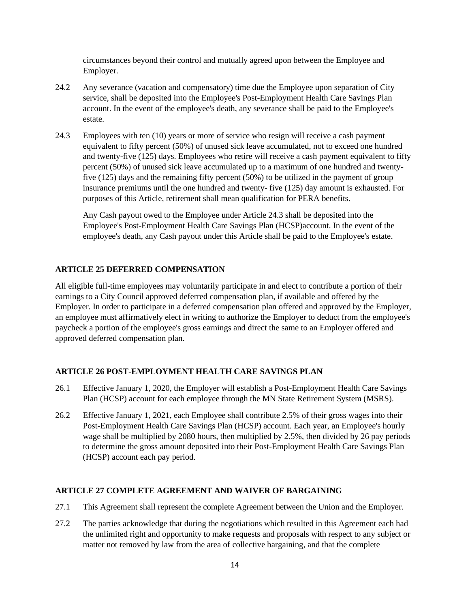circumstances beyond their control and mutually agreed upon between the Employee and Employer.

- 24.2 Any severance (vacation and compensatory) time due the Employee upon separation of City service, shall be deposited into the Employee's Post-Employment Health Care Savings Plan account. In the event of the employee's death, any severance shall be paid to the Employee's estate.
- 24.3 Employees with ten (10) years or more of service who resign will receive a cash payment equivalent to fifty percent (50%) of unused sick leave accumulated, not to exceed one hundred and twenty-five (125) days. Employees who retire will receive a cash payment equivalent to fifty percent (50%) of unused sick leave accumulated up to a maximum of one hundred and twentyfive (125) days and the remaining fifty percent (50%) to be utilized in the payment of group insurance premiums until the one hundred and twenty- five (125) day amount is exhausted. For purposes of this Article, retirement shall mean qualification for PERA benefits.

Any Cash payout owed to the Employee under Article 24.3 shall be deposited into the Employee's Post-Employment Health Care Savings Plan (HCSP)account. In the event of the employee's death, any Cash payout under this Article shall be paid to the Employee's estate.

#### **ARTICLE 25 DEFERRED COMPENSATION**

All eligible full-time employees may voluntarily participate in and elect to contribute a portion of their earnings to a City Council approved deferred compensation plan, if available and offered by the Employer. In order to participate in a deferred compensation plan offered and approved by the Employer, an employee must affirmatively elect in writing to authorize the Employer to deduct from the employee's paycheck a portion of the employee's gross earnings and direct the same to an Employer offered and approved deferred compensation plan.

#### **ARTICLE 26 POST-EMPLOYMENT HEALTH CARE SAVINGS PLAN**

- 26.1 Effective January 1, 2020, the Employer will establish a Post-Employment Health Care Savings Plan (HCSP) account for each employee through the MN State Retirement System (MSRS).
- 26.2 Effective January 1, 2021, each Employee shall contribute 2.5% of their gross wages into their Post-Employment Health Care Savings Plan (HCSP) account. Each year, an Employee's hourly wage shall be multiplied by 2080 hours, then multiplied by 2.5%, then divided by 26 pay periods to determine the gross amount deposited into their Post-Employment Health Care Savings Plan (HCSP) account each pay period.

#### **ARTICLE 27 COMPLETE AGREEMENT AND WAIVER OF BARGAINING**

- 27.1 This Agreement shall represent the complete Agreement between the Union and the Employer.
- 27.2 The parties acknowledge that during the negotiations which resulted in this Agreement each had the unlimited right and opportunity to make requests and proposals with respect to any subject or matter not removed by law from the area of collective bargaining, and that the complete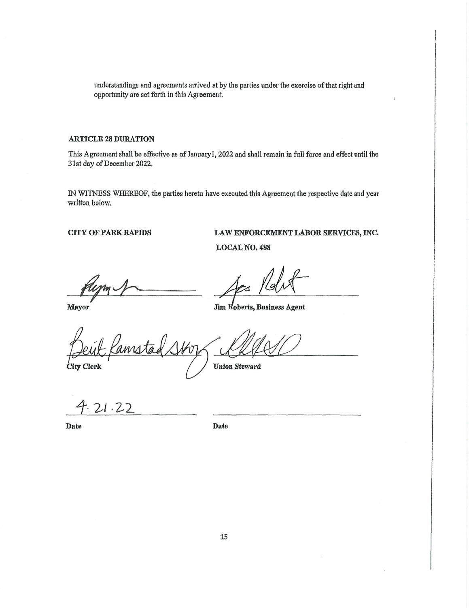understandings and agreements arrived at by the patties under the exercise of that right and opportunity are set forth in this Agreement.

#### **ARTICLE 28 DURATION**

This Agreement shall be effective as of January1, 2022 and shall remain in full force and effect until the 31st day of December 2022.

IN WITNESS WHEREOF, the parties hereto have executed this Agreement the respective date and year written below.

**CITY OF PARK RAPIDS** 

#### **LAW ENFORCEMENT LABOR SERVICES,** INC,

**LOCAL NO, 488** 

**Mayor** 

Jim Roberts, Business Agent

annsta

**City Clerk** 

Union Steward

 $4.21.22$ 

**Date** 

**Date**